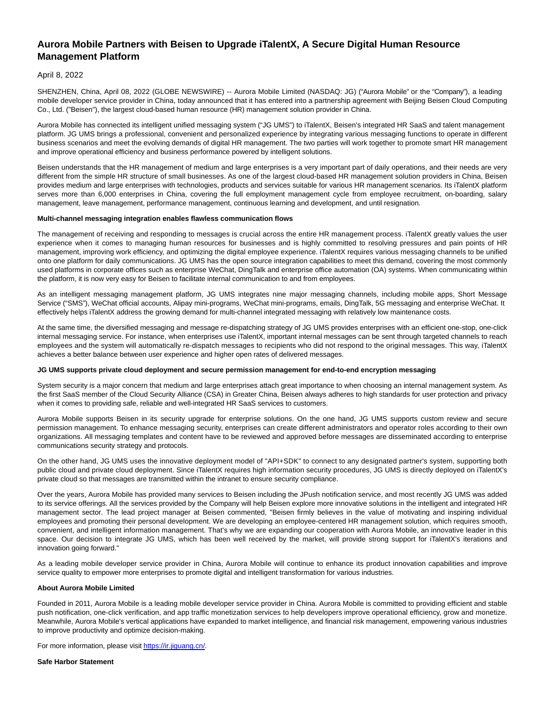# **Aurora Mobile Partners with Beisen to Upgrade iTalentX, A Secure Digital Human Resource Management Platform**

## April 8, 2022

SHENZHEN, China, April 08, 2022 (GLOBE NEWSWIRE) -- Aurora Mobile Limited (NASDAQ: JG) ("Aurora Mobile" or the "Company"), a leading mobile developer service provider in China, today announced that it has entered into a partnership agreement with Beijing Beisen Cloud Computing Co., Ltd. ("Beisen"), the largest cloud-based human resource (HR) management solution provider in China.

Aurora Mobile has connected its intelligent unified messaging system ("JG UMS") to iTalentX, Beisen's integrated HR SaaS and talent management platform. JG UMS brings a professional, convenient and personalized experience by integrating various messaging functions to operate in different business scenarios and meet the evolving demands of digital HR management. The two parties will work together to promote smart HR management and improve operational efficiency and business performance powered by intelligent solutions.

Beisen understands that the HR management of medium and large enterprises is a very important part of daily operations, and their needs are very different from the simple HR structure of small businesses. As one of the largest cloud-based HR management solution providers in China, Beisen provides medium and large enterprises with technologies, products and services suitable for various HR management scenarios. Its iTalentX platform serves more than 6,000 enterprises in China, covering the full employment management cycle from employee recruitment, on-boarding, salary management, leave management, performance management, continuous learning and development, and until resignation.

#### **Multi-channel messaging integration enables flawless communication flows**

The management of receiving and responding to messages is crucial across the entire HR management process. iTalentX greatly values the user experience when it comes to managing human resources for businesses and is highly committed to resolving pressures and pain points of HR management, improving work efficiency, and optimizing the digital employee experience. iTalentX requires various messaging channels to be unified onto one platform for daily communications. JG UMS has the open source integration capabilities to meet this demand, covering the most commonly used platforms in corporate offices such as enterprise WeChat, DingTalk and enterprise office automation (OA) systems. When communicating within the platform, it is now very easy for Beisen to facilitate internal communication to and from employees.

As an intelligent messaging management platform, JG UMS integrates nine major messaging channels, including mobile apps, Short Message Service ("SMS"), WeChat official accounts, Alipay mini-programs, WeChat mini-programs, emails, DingTalk, 5G messaging and enterprise WeChat. It effectively helps iTalentX address the growing demand for multi-channel integrated messaging with relatively low maintenance costs.

At the same time, the diversified messaging and message re-dispatching strategy of JG UMS provides enterprises with an efficient one-stop, one-click internal messaging service. For instance, when enterprises use iTalentX, important internal messages can be sent through targeted channels to reach employees and the system will automatically re-dispatch messages to recipients who did not respond to the original messages. This way, iTalentX achieves a better balance between user experience and higher open rates of delivered messages.

#### **JG UMS supports private cloud deployment and secure permission management for end-to-end encryption messaging**

System security is a major concern that medium and large enterprises attach great importance to when choosing an internal management system. As the first SaaS member of the Cloud Security Alliance (CSA) in Greater China, Beisen always adheres to high standards for user protection and privacy when it comes to providing safe, reliable and well-integrated HR SaaS services to customers.

Aurora Mobile supports Beisen in its security upgrade for enterprise solutions. On the one hand, JG UMS supports custom review and secure permission management. To enhance messaging security, enterprises can create different administrators and operator roles according to their own organizations. All messaging templates and content have to be reviewed and approved before messages are disseminated according to enterprise communications security strategy and protocols.

On the other hand, JG UMS uses the innovative deployment model of "API+SDK" to connect to any designated partner's system, supporting both public cloud and private cloud deployment. Since iTalentX requires high information security procedures, JG UMS is directly deployed on iTalentX's private cloud so that messages are transmitted within the intranet to ensure security compliance.

Over the years, Aurora Mobile has provided many services to Beisen including the JPush notification service, and most recently JG UMS was added to its service offerings. All the services provided by the Company will help Beisen explore more innovative solutions in the intelligent and integrated HR management sector. The lead project manager at Beisen commented, "Beisen firmly believes in the value of motivating and inspiring individual employees and promoting their personal development. We are developing an employee-centered HR management solution, which requires smooth, convenient, and intelligent information management. That's why we are expanding our cooperation with Aurora Mobile, an innovative leader in this space. Our decision to integrate JG UMS, which has been well received by the market, will provide strong support for iTalentX's iterations and innovation going forward."

As a leading mobile developer service provider in China, Aurora Mobile will continue to enhance its product innovation capabilities and improve service quality to empower more enterprises to promote digital and intelligent transformation for various industries.

#### **About Aurora Mobile Limited**

Founded in 2011, Aurora Mobile is a leading mobile developer service provider in China. Aurora Mobile is committed to providing efficient and stable push notification, one-click verification, and app traffic monetization services to help developers improve operational efficiency, grow and monetize. Meanwhile, Aurora Mobile's vertical applications have expanded to market intelligence, and financial risk management, empowering various industries to improve productivity and optimize decision-making.

For more information, please visi[t https://ir.jiguang.cn/.](https://www.globenewswire.com/Tracker?data=MA9INqhVMsO6sGIuwt15HElcBR4sh1GlUQ_6JgAKL2vlZFutVXp4BtqBM9H1vihR73571oqqBCtGn6opqQ9Fn_CQ9OCRj7qDQelQAfHVDmM=)

#### **Safe Harbor Statement**